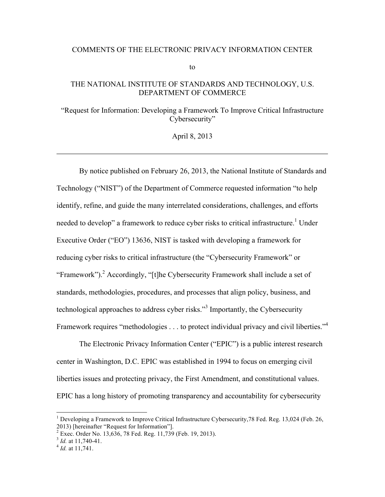#### COMMENTS OF THE ELECTRONIC PRIVACY INFORMATION CENTER

to

## THE NATIONAL INSTITUTE OF STANDARDS AND TECHNOLOGY, U.S. DEPARTMENT OF COMMERCE

"Request for Information: Developing a Framework To Improve Critical Infrastructure Cybersecurity"

April 8, 2013

By notice published on February 26, 2013, the National Institute of Standards and Technology ("NIST") of the Department of Commerce requested information "to help identify, refine, and guide the many interrelated considerations, challenges, and efforts needed to develop" a framework to reduce cyber risks to critical infrastructure.<sup>1</sup> Under Executive Order ("EO") 13636, NIST is tasked with developing a framework for reducing cyber risks to critical infrastructure (the "Cybersecurity Framework" or "Framework").<sup>2</sup> Accordingly, "[t]he Cybersecurity Framework shall include a set of standards, methodologies, procedures, and processes that align policy, business, and technological approaches to address cyber risks."<sup>3</sup> Importantly, the Cybersecurity Framework requires "methodologies . . . to protect individual privacy and civil liberties."<sup>4</sup>

The Electronic Privacy Information Center ("EPIC") is a public interest research center in Washington, D.C. EPIC was established in 1994 to focus on emerging civil liberties issues and protecting privacy, the First Amendment, and constitutional values. EPIC has a long history of promoting transparency and accountability for cybersecurity

<sup>2013) [</sup>hereinafter "Request for Information"].<br> $2 \text{ E}$  2.220, Order No. 12.626, 78 Eed, Reg. 11.720 <sup>1</sup> Developing a Framework to Improve Critical Infrastructure Cybersecurity, 78 Fed. Reg. 13,024 (Feb. 26,

Exec. Order No. 13,636, 78 Fed. Reg. 11,739 (Feb. 19, 2013). <sup>3</sup>*Id.* at 11,740-41.

<sup>&</sup>lt;sup>3</sup> *Id.* at 11,740-41.<br><sup>4</sup> *Id.* at 11,741.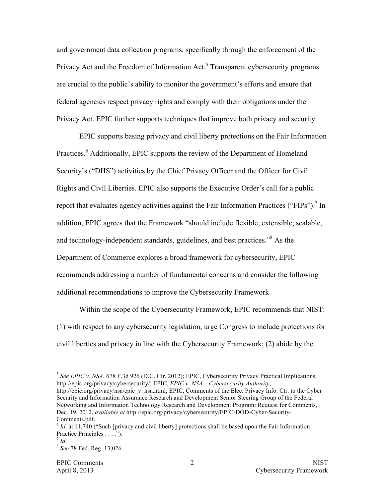and government data collection programs, specifically through the enforcement of the Privacy Act and the Freedom of Information Act.<sup>5</sup> Transparent cybersecurity programs are crucial to the public's ability to monitor the government's efforts and ensure that federal agencies respect privacy rights and comply with their obligations under the Privacy Act. EPIC further supports techniques that improve both privacy and security.

EPIC supports basing privacy and civil liberty protections on the Fair Information Practices.<sup>6</sup> Additionally, EPIC supports the review of the Department of Homeland Security's ("DHS") activities by the Chief Privacy Officer and the Officer for Civil Rights and Civil Liberties. EPIC also supports the Executive Order's call for a public report that evaluates agency activities against the Fair Information Practices ("FIPs").<sup>7</sup> In addition, EPIC agrees that the Framework "should include flexible, extensible, scalable, and technology-independent standards, guidelines, and best practices."<sup>8</sup> As the Department of Commerce explores a broad framework for cybersecurity, EPIC recommends addressing a number of fundamental concerns and consider the following additional recommendations to improve the Cybersecurity Framework.

Within the scope of the Cybersecurity Framework, EPIC recommends that NIST: (1) with respect to any cybersecurity legislation, urge Congress to include protections for civil liberties and privacy in line with the Cybersecurity Framework; (2) abide by the

<sup>&</sup>lt;sup>5</sup> See EPIC v. NSA, 678 F.3d 926 (D.C. Cir. 2012); EPIC, Cybersecurity Privacy Practical Implications, http://epic.org/privacy/cybersecurity/; EPIC, *EPIC v. NSA – Cybersecurity Authority*, http://epic.org/privacy/nsa/epic\_v\_nsa.html; EPIC, Comments of the Elec. Privacy Info. Ctr. to the Cyber Security and Information Assurance Research and Development Senior Steering Group of the Federal Networking and Information Technology Research and Development Program: Request for Comments, Dec. 19, 2012, *available at* http://epic.org/privacy/cybersecurity/EPIC-DOD-Cyber-Security-Comments.pdf.

 <sup>6</sup>*Id.* at 11,740 ("Such [privacy and civil liberty] protections shall be based upon the Fair Information Practice Principles . . . ."). <sup>7</sup>*Id.*

<sup>8</sup>*See* 78 Fed. Reg. 13,026.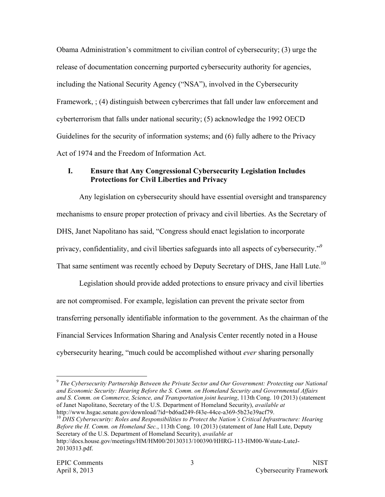Obama Administration's commitment to civilian control of cybersecurity; (3) urge the release of documentation concerning purported cybersecurity authority for agencies, including the National Security Agency ("NSA"), involved in the Cybersecurity Framework, ; (4) distinguish between cybercrimes that fall under law enforcement and cyberterrorism that falls under national security; (5) acknowledge the 1992 OECD Guidelines for the security of information systems; and (6) fully adhere to the Privacy Act of 1974 and the Freedom of Information Act.

# **I. Ensure that Any Congressional Cybersecurity Legislation Includes Protections for Civil Liberties and Privacy**

Any legislation on cybersecurity should have essential oversight and transparency mechanisms to ensure proper protection of privacy and civil liberties. As the Secretary of DHS, Janet Napolitano has said, "Congress should enact legislation to incorporate privacy, confidentiality, and civil liberties safeguards into all aspects of cybersecurity."9 That same sentiment was recently echoed by Deputy Secretary of DHS, Jane Hall Lute.<sup>10</sup>

Legislation should provide added protections to ensure privacy and civil liberties are not compromised. For example, legislation can prevent the private sector from transferring personally identifiable information to the government. As the chairman of the Financial Services Information Sharing and Analysis Center recently noted in a House cybersecurity hearing, "much could be accomplished without *ever* sharing personally

<sup>&</sup>lt;sup>9</sup> The Cybersecurity Partnership Between the Private Sector and Our Government: Protecting our National  *and Economic Security: Hearing Before the S. Comm. on Homeland Security and Governmental Affairs and S. Comm. on Commerce, Science, and Transportation joint hearing*, 113th Cong. 10 (2013) (statement of Janet Napolitano, Secretary of the U.S. Department of Homeland Security), *available at* 

http://www.hsgac.senate.gov/download/?id=bd6ad249-f43e-44ce-a369-5b23e39acf79.<br><sup>10</sup> DHS Cybersecurity: Roles and Responsibilities to Protect the Nation's Critical Infrastructure: Hearing  *Before the H. Comm. on Homeland Sec.*, 113th Cong. 10 (2013) (statement of Jane Hall Lute, Deputy Secretary of the U.S. Department of Homeland Security), *available at*  http://docs.house.gov/meetings/HM/HM00/20130313/100390/HHRG-113-HM00-Wstate-LuteJ-20130313.pdf.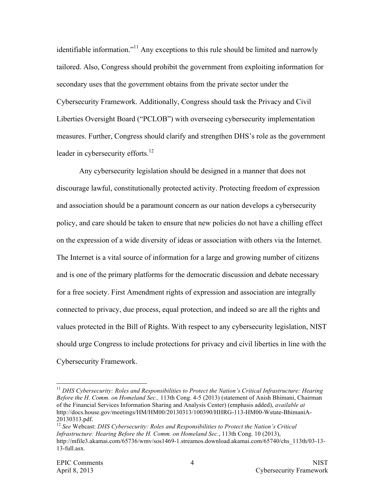identifiable information."<sup>11</sup> Any exceptions to this rule should be limited and narrowly tailored. Also, Congress should prohibit the government from exploiting information for secondary uses that the government obtains from the private sector under the Cybersecurity Framework. Additionally, Congress should task the Privacy and Civil Liberties Oversight Board ("PCLOB") with overseeing cybersecurity implementation measures. Further, Congress should clarify and strengthen DHS's role as the government leader in cybersecurity efforts.<sup>12</sup>

Any cybersecurity legislation should be designed in a manner that does not discourage lawful, constitutionally protected activity. Protecting freedom of expression and association should be a paramount concern as our nation develops a cybersecurity policy, and care should be taken to ensure that new policies do not have a chilling effect on the expression of a wide diversity of ideas or association with others via the Internet. The Internet is a vital source of information for a large and growing number of citizens and is one of the primary platforms for the democratic discussion and debate necessary for a free society. First Amendment rights of expression and association are integrally connected to privacy, due process, equal protection, and indeed so are all the rights and values protected in the Bill of Rights. With respect to any cybersecurity legislation, NIST should urge Congress to include protections for privacy and civil liberties in line with the Cybersecurity Framework.

<sup>&</sup>lt;sup>11</sup> DHS Cybersecurity: Roles and Responsibilities to Protect the Nation's Critical Infrastructure: Hearing  *Before the H. Comm. on Homeland Sec.,* 113th Cong. 4-5 (2013) (statement of Anish Bhimani, Chairman of the Financial Services Information Sharing and Analysis Center) (emphasis added), *available at*  http://docs.house.gov/meetings/HM/HM00/20130313/100390/HHRG-113-HM00-Wstate-BhimaniA-20130313.pdf.

<sup>&</sup>lt;sup>12</sup> See Webcast: DHS Cybersecurity: Roles and Responsibilities to Protect the Nation's Critical  *Infrastructure: Hearing Before the H. Comm. on Homeland Sec.*, 113th Cong. 10 (2013), http://mfile3.akamai.com/65736/wmy/sos1469-1.streamos.download.akamai.com/65740/chs\_113th/03-13-13-full.asx*.*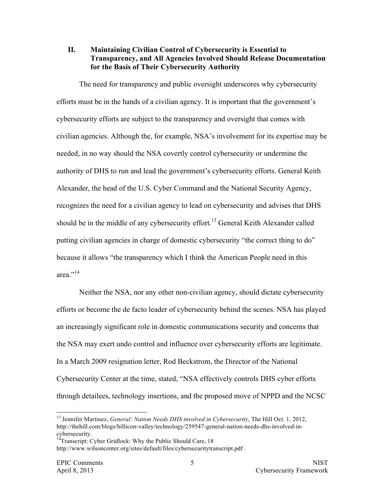#### **II. Maintaining Civilian Control of Cybersecurity is Essential to Transparency, and All Agencies Involved Should Release Documentation for the Basis of Their Cybersecurity Authority**

The need for transparency and public oversight underscores why cybersecurity efforts must be in the hands of a civilian agency. It is important that the government's cybersecurity efforts are subject to the transparency and oversight that comes with civilian agencies. Although the, for example, NSA's involvement for its expertise may be needed, in no way should the NSA covertly control cybersecurity or undermine the authority of DHS to run and lead the government's cybersecurity efforts. General Keith Alexander, the head of the U.S. Cyber Command and the National Security Agency, recognizes the need for a civilian agency to lead on cybersecurity and advises that DHS should be in the middle of any cybersecurity effort.<sup>13</sup> General Keith Alexander called putting civilian agencies in charge of domestic cybersecurity "the correct thing to do" because it allows "the transparency which I think the American People need in this area<sup>",14</sup>

Neither the NSA, nor any other non-civilian agency, should dictate cybersecurity efforts or become the de facto leader of cybersecurity behind the scenes. NSA has played an increasingly significant role in domestic communications security and concerns that the NSA may exert undo control and influence over cybersecurity efforts are legitimate. In a March 2009 resignation letter, Rod Beckstrom, the Director of the National Cybersecurity Center at the time, stated, "NSA effectively controls DHS cyber efforts through detailees, technology insertions, and the proposed move of NPPD and the NCSC

<sup>&</sup>lt;sup>13</sup> Jennifer Martinez, *General: Nation Needs DHS involved in Cybersecurity*, The Hill Oct. 1, 2012, http://thehill.com/blogs/hillicon-valley/technology/259547-general-nation-needs-dhs-involved-incybersecurity.

<sup>&</sup>lt;sup>14</sup>Transcript: Cyber Gridlock: Why the Public Should Care, 18 http://www.wilsoncenter.org/sites/default/files/cybersecuritytranscript.pdf .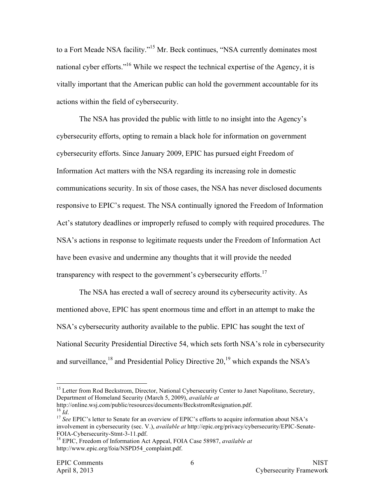to a Fort Meade NSA facility."15 Mr. Beck continues, "NSA currently dominates most national cyber efforts."16 While we respect the technical expertise of the Agency, it is vitally important that the American public can hold the government accountable for its actions within the field of cybersecurity.

The NSA has provided the public with little to no insight into the Agency's cybersecurity efforts, opting to remain a black hole for information on government cybersecurity efforts. Since January 2009, EPIC has pursued eight Freedom of Information Act matters with the NSA regarding its increasing role in domestic communications security. In six of those cases, the NSA has never disclosed documents responsive to EPIC's request. The NSA continually ignored the Freedom of Information Act's statutory deadlines or improperly refused to comply with required procedures. The NSA's actions in response to legitimate requests under the Freedom of Information Act have been evasive and undermine any thoughts that it will provide the needed transparency with respect to the government's cybersecurity efforts.<sup>17</sup>

The NSA has erected a wall of secrecy around its cybersecurity activity. As mentioned above, EPIC has spent enormous time and effort in an attempt to make the NSA's cybersecurity authority available to the public. EPIC has sought the text of National Security Presidential Directive 54, which sets forth NSA's role in cybersecurity and surveillance, $^{18}$  and Presidential Policy Directive 20, $^{19}$  which expands the NSA's

 $^{16}$   $\hat{Id}$ . http://online.wsj.com/public/resources/documents/BeckstromResignation.pdf.

<sup>&</sup>lt;sup>15</sup> Letter from Rod Beckstrom, Director, National Cybersecurity Center to Janet Napolitano, Secretary, Department of Homeland Security (March 5, 2009), *available at*

<sup>&</sup>lt;sup>16</sup> *Id.*<br><sup>17</sup> See EPIC's letter to Senate for an overview of EPIC's efforts to acquire information about NSA's involvement in cybersecurity (sec. V.), *available at* http://epic.org/privacy/cybersecurity/EPIC-Senate-

<sup>&</sup>lt;sup>18</sup> EPIC, Freedom of Information Act Appeal, FOIA Case 58987, *available at* http://www.epic.org/foia/NSPD54\_complaint.pdf.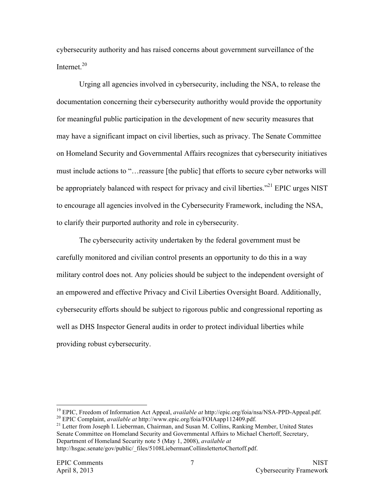cybersecurity authority and has raised concerns about government surveillance of the Internet.<sup>20</sup>

Urging all agencies involved in cybersecurity, including the NSA, to release the documentation concerning their cybersecurity authorithy would provide the opportunity for meaningful public participation in the development of new security measures that may have a significant impact on civil liberties, such as privacy. The Senate Committee on Homeland Security and Governmental Affairs recognizes that cybersecurity initiatives must include actions to "…reassure [the public] that efforts to secure cyber networks will be appropriately balanced with respect for privacy and civil liberties."<sup>21</sup> EPIC urges NIST to encourage all agencies involved in the Cybersecurity Framework, including the NSA, to clarify their purported authority and role in cybersecurity.

The cybersecurity activity undertaken by the federal government must be carefully monitored and civilian control presents an opportunity to do this in a way military control does not. Any policies should be subject to the independent oversight of an empowered and effective Privacy and Civil Liberties Oversight Board. Additionally, cybersecurity efforts should be subject to rigorous public and congressional reporting as well as DHS Inspector General audits in order to protect individual liberties while providing robust cybersecurity.

<sup>19</sup> EPIC, Freedom of Information Act Appeal, *available at* http://epic.org/foia/nsa/NSA-PPD-Appeal.pdf.

20 EPIC Complaint, *available at* http://www.epic.org/foia/FOIAapp112409.pdf.

 Senate Committee on Homeland Security and Governmental Affairs to Michael Chertoff, Secretary, Department of Homeland Security note 5 (May 1, 2008), *available at* <sup>21</sup> Letter from Joseph I. Lieberman, Chairman, and Susan M. Collins, Ranking Member, United States http://hsgac.senate/gov/public/\_files/5108LiebermanCollinslettertoChertoff.pdf.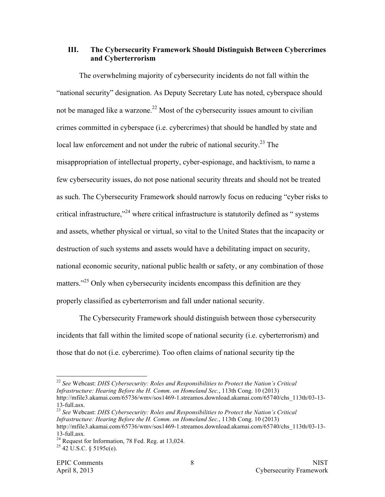## **III. The Cybersecurity Framework Should Distinguish Between Cybercrimes and Cyberterrorism**

The overwhelming majority of cybersecurity incidents do not fall within the "national security" designation. As Deputy Secretary Lute has noted, cyberspace should not be managed like a warzone.<sup>22</sup> Most of the cybersecurity issues amount to civilian crimes committed in cyberspace (i.e. cybercrimes) that should be handled by state and local law enforcement and not under the rubric of national security.<sup>23</sup> The misappropriation of intellectual property, cyber-espionage, and hacktivism, to name a few cybersecurity issues, do not pose national security threats and should not be treated as such. The Cybersecurity Framework should narrowly focus on reducing "cyber risks to critical infrastructure,"<sup>24</sup> where critical infrastructure is statutorily defined as " systems and assets, whether physical or virtual, so vital to the United States that the incapacity or destruction of such systems and assets would have a debilitating impact on security, national economic security, national public health or safety, or any combination of those matters."<sup>25</sup> Only when cybersecurity incidents encompass this definition are they properly classified as cyberterrorism and fall under national security.

The Cybersecurity Framework should distinguish between those cybersecurity incidents that fall within the limited scope of national security (i.e. cyberterrorism) and those that do not (i.e. cybercrime). Too often claims of national security tip the

 <sup>22</sup>*See* Webcast: *DHS Cybersecurity: Roles and Responsibilities to Protect the Nation's Critical Infrastructure: Hearing Before the H. Comm. on Homeland Sec.*, 113th Cong. 10 (2013) http://mfile3.akamai.com/65736/wmy/sos1469-1.streamos.download.akamai.com/65740/chs\_113th/03-13-13-full.asx*.*

 <sup>23</sup>*See* Webcast: *DHS Cybersecurity: Roles and Responsibilities to Protect the Nation's Critical Infrastructure: Hearing Before the H. Comm. on Homeland Sec.*, 113th Cong. 10 (2013) http://mfile3.akamai.com/65736/wmv/sos1469-1.streamos.download.akamai.com/65740/chs\_113th/03-13-13-full.asx*.*

<sup>13-</sup>full.asx.<br><sup>24</sup> Request for Information, 78 Fed. Reg. at 13,024. <sup>24</sup> Request for Information, 78 Fed. Reg. at 13,024.<br><sup>25</sup> 42 U.S.C. § 5195c(e).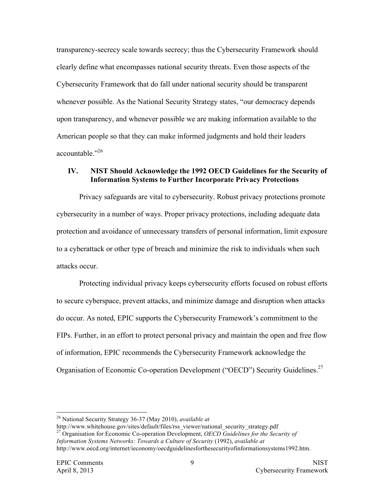transparency-secrecy scale towards secrecy; thus the Cybersecurity Framework should clearly define what encompasses national security threats. Even those aspects of the Cybersecurity Framework that do fall under national security should be transparent whenever possible. As the National Security Strategy states, "our democracy depends upon transparency, and whenever possible we are making information available to the American people so that they can make informed judgments and hold their leaders accountable."26

### **IV. NIST Should Acknowledge the 1992 OECD Guidelines for the Security of Information Systems to Further Incorporate Privacy Protections**

Privacy safeguards are vital to cybersecurity. Robust privacy protections promote cybersecurity in a number of ways. Proper privacy protections, including adequate data protection and avoidance of unnecessary transfers of personal information, limit exposure to a cyberattack or other type of breach and minimize the risk to individuals when such attacks occur.

Organisation of Economic Co-operation Development ("OECD") Security Guidelines.<sup>27</sup> Protecting individual privacy keeps cybersecurity efforts focused on robust efforts to secure cyberspace, prevent attacks, and minimize damage and disruption when attacks do occur. As noted, EPIC supports the Cybersecurity Framework's commitment to the FIPs. Further, in an effort to protect personal privacy and maintain the open and free flow of information, EPIC recommends the Cybersecurity Framework acknowledge the

 http://www.whitehouse.gov/sites/default/files/rss\_viewer/national\_security\_strategy.pdf 27 Organisation for Economic Co-operation Development, *OECD Guidelines for the Security of*  Information Systems Networks: Towards a Culture of Security (1992), available at <sup>26</sup> National Security Strategy 36-37 (May 2010), *available at* http://www.whitehouse.gov/sites/default/files/rss\_viewer/national\_security strategy.pdf http://www.oecd.org/internet/ieconomy/oecdguidelinesforthesecurityofinformationsystems1992.htm.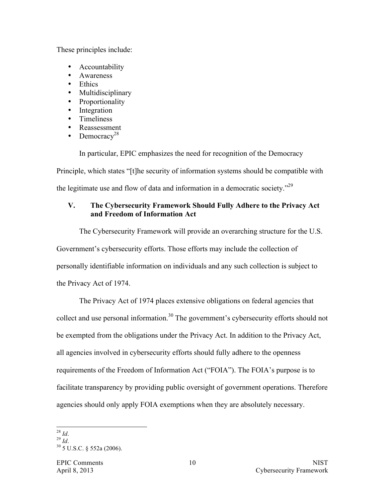These principles include:

- **Accountability**
- Awareness
- Ethics
- Multidisciplinary
- Proportionality
- Integration
- Timeliness
- Reassessment
- Democracy<sup>28</sup>

In particular, EPIC emphasizes the need for recognition of the Democracy

Principle, which states "[t]he security of information systems should be compatible with

the legitimate use and flow of data and information in a democratic society."29

# **V. The Cybersecurity Framework Should Fully Adhere to the Privacy Act and Freedom of Information Act**

The Cybersecurity Framework will provide an overarching structure for the U.S. Government's cybersecurity efforts. Those efforts may include the collection of personally identifiable information on individuals and any such collection is subject to

the Privacy Act of 1974.

The Privacy Act of 1974 places extensive obligations on federal agencies that collect and use personal information.<sup>30</sup> The government's cybersecurity efforts should not be exempted from the obligations under the Privacy Act. In addition to the Privacy Act, all agencies involved in cybersecurity efforts should fully adhere to the openness requirements of the Freedom of Information Act ("FOIA"). The FOIA's purpose is to facilitate transparency by providing public oversight of government operations. Therefore agencies should only apply FOIA exemptions when they are absolutely necessary.

 <sup>28</sup>*Id*.

 <sup>29</sup>*Id*.

30 5 U.S.C. § 552a (2006).